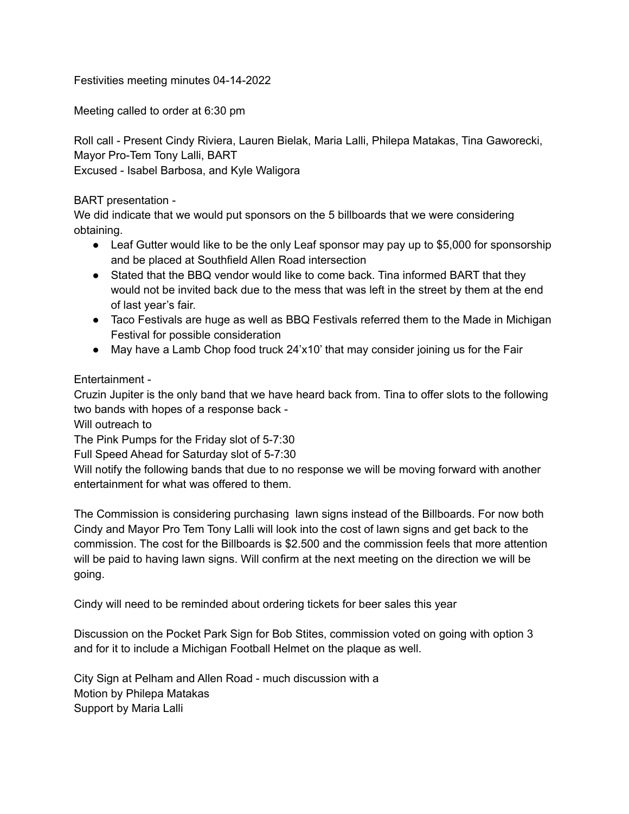Festivities meeting minutes 04-14-2022

Meeting called to order at 6:30 pm

Roll call - Present Cindy Riviera, Lauren Bielak, Maria Lalli, Philepa Matakas, Tina Gaworecki, Mayor Pro-Tem Tony Lalli, BART Excused - Isabel Barbosa, and Kyle Waligora

BART presentation -

We did indicate that we would put sponsors on the 5 billboards that we were considering obtaining.

- Leaf Gutter would like to be the only Leaf sponsor may pay up to \$5,000 for sponsorship and be placed at Southfield Allen Road intersection
- Stated that the BBQ vendor would like to come back. Tina informed BART that they would not be invited back due to the mess that was left in the street by them at the end of last year's fair.
- Taco Festivals are huge as well as BBQ Festivals referred them to the Made in Michigan Festival for possible consideration
- May have a Lamb Chop food truck 24'x10' that may consider joining us for the Fair

Entertainment -

Cruzin Jupiter is the only band that we have heard back from. Tina to offer slots to the following two bands with hopes of a response back -

Will outreach to

The Pink Pumps for the Friday slot of 5-7:30

Full Speed Ahead for Saturday slot of 5-7:30

Will notify the following bands that due to no response we will be moving forward with another entertainment for what was offered to them.

The Commission is considering purchasing lawn signs instead of the Billboards. For now both Cindy and Mayor Pro Tem Tony Lalli will look into the cost of lawn signs and get back to the commission. The cost for the Billboards is \$2.500 and the commission feels that more attention will be paid to having lawn signs. Will confirm at the next meeting on the direction we will be going.

Cindy will need to be reminded about ordering tickets for beer sales this year

Discussion on the Pocket Park Sign for Bob Stites, commission voted on going with option 3 and for it to include a Michigan Football Helmet on the plaque as well.

City Sign at Pelham and Allen Road - much discussion with a Motion by Philepa Matakas Support by Maria Lalli